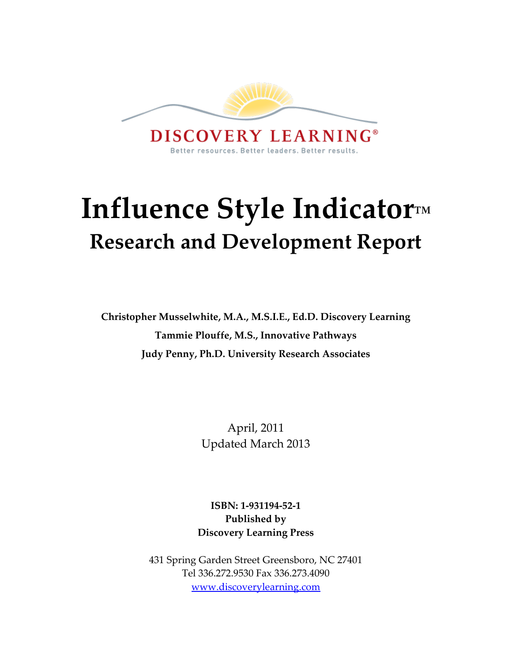

# **Influence Style Indicator™ Research and Development Report**

**Christopher Musselwhite, M.A., M.S.I.E., Ed.D. Discovery Learning Tammie Plouffe, M.S., Innovative Pathways Judy Penny, Ph.D. University Research Associates**

> April, 2011 Updated March 2013

**ISBN: 1-931194-52-1 Published by Discovery Learning Press**

431 Spring Garden Street Greensboro, NC 27401 Tel 336.272.9530 Fax 336.273.4090 [www.discoverylearning.com](http://www.discoverylearning.com/)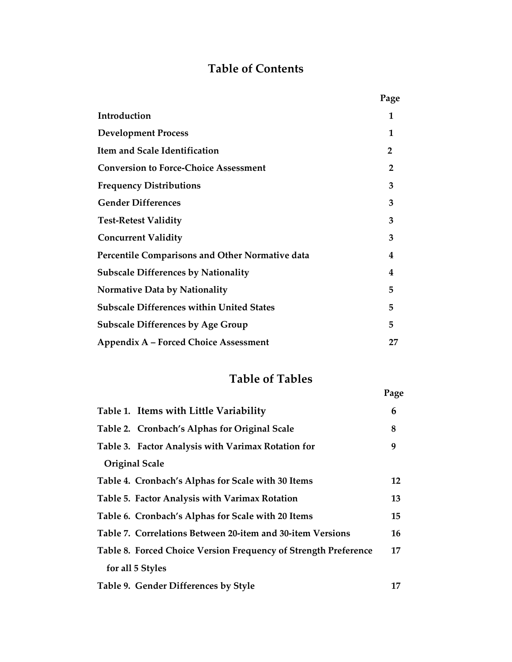## **Table of Contents**

|                                                  | Page           |
|--------------------------------------------------|----------------|
| Introduction                                     | 1              |
| <b>Development Process</b>                       | 1              |
| Item and Scale Identification                    | $\overline{2}$ |
| <b>Conversion to Force-Choice Assessment</b>     | $\overline{2}$ |
| <b>Frequency Distributions</b>                   | 3              |
| <b>Gender Differences</b>                        | 3              |
| <b>Test-Retest Validity</b>                      | 3              |
| <b>Concurrent Validity</b>                       | 3              |
| Percentile Comparisons and Other Normative data  | 4              |
| <b>Subscale Differences by Nationality</b>       | 4              |
| <b>Normative Data by Nationality</b>             | 5              |
| <b>Subscale Differences within United States</b> | 5              |
| <b>Subscale Differences by Age Group</b>         | 5              |
| Appendix A – Forced Choice Assessment            | 27             |

## **Table of Tables**

|                                                                 | Page |
|-----------------------------------------------------------------|------|
| Table 1. Items with Little Variability                          | 6    |
| Table 2. Cronbach's Alphas for Original Scale                   | 8    |
| Table 3. Factor Analysis with Varimax Rotation for              | 9    |
| <b>Original Scale</b>                                           |      |
| Table 4. Cronbach's Alphas for Scale with 30 Items              | 12   |
| Table 5. Factor Analysis with Varimax Rotation                  | 13   |
| Table 6. Cronbach's Alphas for Scale with 20 Items              | 15   |
| Table 7. Correlations Between 20-item and 30-item Versions      | 16   |
| Table 8. Forced Choice Version Frequency of Strength Preference | 17   |
| for all 5 Styles                                                |      |
| Table 9. Gender Differences by Style                            | 17   |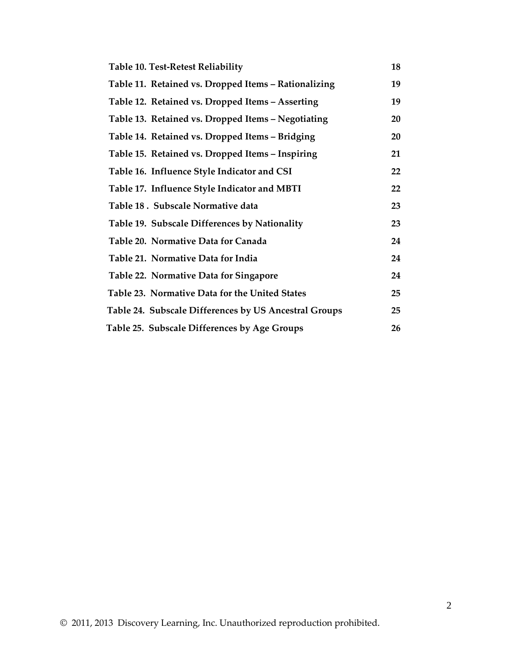| <b>Table 10. Test-Retest Reliability</b>              | 18     |
|-------------------------------------------------------|--------|
| Table 11. Retained vs. Dropped Items - Rationalizing  | 19     |
| Table 12. Retained vs. Dropped Items - Asserting      | 19     |
| Table 13. Retained vs. Dropped Items - Negotiating    | 20     |
| Table 14. Retained vs. Dropped Items - Bridging       | 20     |
| Table 15. Retained vs. Dropped Items - Inspiring      | 21     |
| Table 16. Influence Style Indicator and CSI           | $22\,$ |
| Table 17. Influence Style Indicator and MBTI          | 22     |
| Table 18. Subscale Normative data                     | 23     |
| Table 19. Subscale Differences by Nationality         | 23     |
| Table 20. Normative Data for Canada                   | 24     |
| Table 21. Normative Data for India                    | 24     |
| Table 22. Normative Data for Singapore                | 24     |
| Table 23. Normative Data for the United States        | 25     |
| Table 24. Subscale Differences by US Ancestral Groups | 25     |
| Table 25. Subscale Differences by Age Groups          | 26     |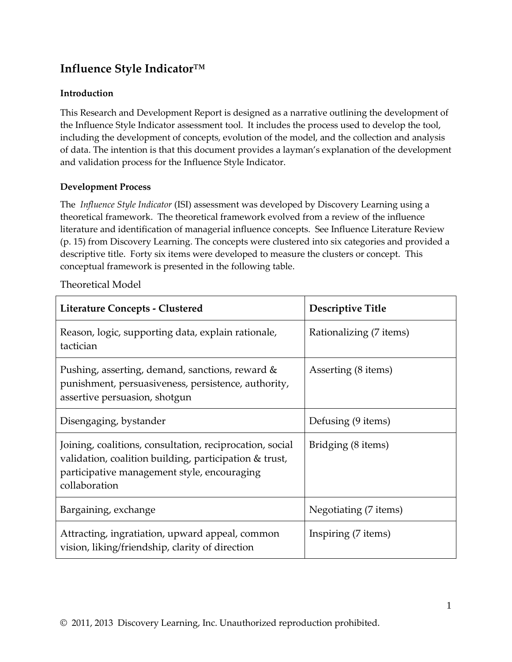## **Influence Style Indicator™**

#### **Introduction**

This Research and Development Report is designed as a narrative outlining the development of the Influence Style Indicator assessment tool. It includes the process used to develop the tool, including the development of concepts, evolution of the model, and the collection and analysis of data. The intention is that this document provides a layman's explanation of the development and validation process for the Influence Style Indicator.

#### **Development Process**

The *Influence Style Indicator* (ISI) assessment was developed by Discovery Learning using a theoretical framework. The theoretical framework evolved from a review of the influence literature and identification of managerial influence concepts. See Influence Literature Review (p. 15) from Discovery Learning. The concepts were clustered into six categories and provided a descriptive title. Forty six items were developed to measure the clusters or concept. This conceptual framework is presented in the following table.

| Literature Concepts - Clustered                                                                                                                                                    | Descriptive Title       |
|------------------------------------------------------------------------------------------------------------------------------------------------------------------------------------|-------------------------|
| Reason, logic, supporting data, explain rationale,<br>tactician                                                                                                                    | Rationalizing (7 items) |
| Pushing, asserting, demand, sanctions, reward &<br>punishment, persuasiveness, persistence, authority,<br>assertive persuasion, shotgun                                            | Asserting (8 items)     |
| Disengaging, bystander                                                                                                                                                             | Defusing (9 items)      |
| Joining, coalitions, consultation, reciprocation, social<br>validation, coalition building, participation & trust,<br>participative management style, encouraging<br>collaboration | Bridging (8 items)      |
| Bargaining, exchange                                                                                                                                                               | Negotiating (7 items)   |
| Attracting, ingratiation, upward appeal, common<br>vision, liking/friendship, clarity of direction                                                                                 | Inspiring (7 items)     |

#### Theoretical Model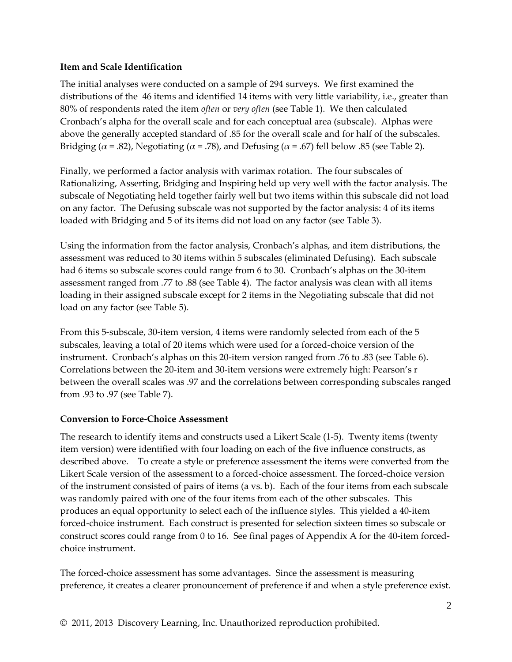#### **Item and Scale Identification**

The initial analyses were conducted on a sample of 294 surveys. We first examined the distributions of the 46 items and identified 14 items with very little variability, i.e., greater than 80% of respondents rated the item *often* or *very often* (see Table 1). We then calculated Cronbach's alpha for the overall scale and for each conceptual area (subscale). Alphas were above the generally accepted standard of .85 for the overall scale and for half of the subscales. Bridging ( $\alpha$  = .82), Negotiating ( $\alpha$  = .78), and Defusing ( $\alpha$  = .67) fell below .85 (see Table 2).

Finally, we performed a factor analysis with varimax rotation. The four subscales of Rationalizing, Asserting, Bridging and Inspiring held up very well with the factor analysis. The subscale of Negotiating held together fairly well but two items within this subscale did not load on any factor. The Defusing subscale was not supported by the factor analysis: 4 of its items loaded with Bridging and 5 of its items did not load on any factor (see Table 3).

Using the information from the factor analysis, Cronbach's alphas, and item distributions, the assessment was reduced to 30 items within 5 subscales (eliminated Defusing). Each subscale had 6 items so subscale scores could range from 6 to 30. Cronbach's alphas on the 30-item assessment ranged from .77 to .88 (see Table 4). The factor analysis was clean with all items loading in their assigned subscale except for 2 items in the Negotiating subscale that did not load on any factor (see Table 5).

From this 5-subscale, 30-item version, 4 items were randomly selected from each of the 5 subscales, leaving a total of 20 items which were used for a forced-choice version of the instrument. Cronbach's alphas on this 20-item version ranged from .76 to .83 (see Table 6). Correlations between the 20-item and 30-item versions were extremely high: Pearson's r between the overall scales was .97 and the correlations between corresponding subscales ranged from .93 to .97 (see Table 7).

#### **Conversion to Force-Choice Assessment**

The research to identify items and constructs used a Likert Scale (1-5). Twenty items (twenty item version) were identified with four loading on each of the five influence constructs, as described above. To create a style or preference assessment the items were converted from the Likert Scale version of the assessment to a forced-choice assessment. The forced-choice version of the instrument consisted of pairs of items (a vs. b). Each of the four items from each subscale was randomly paired with one of the four items from each of the other subscales. This produces an equal opportunity to select each of the influence styles. This yielded a 40-item forced-choice instrument. Each construct is presented for selection sixteen times so subscale or construct scores could range from 0 to 16. See final pages of Appendix A for the 40-item forcedchoice instrument.

The forced-choice assessment has some advantages. Since the assessment is measuring preference, it creates a clearer pronouncement of preference if and when a style preference exist.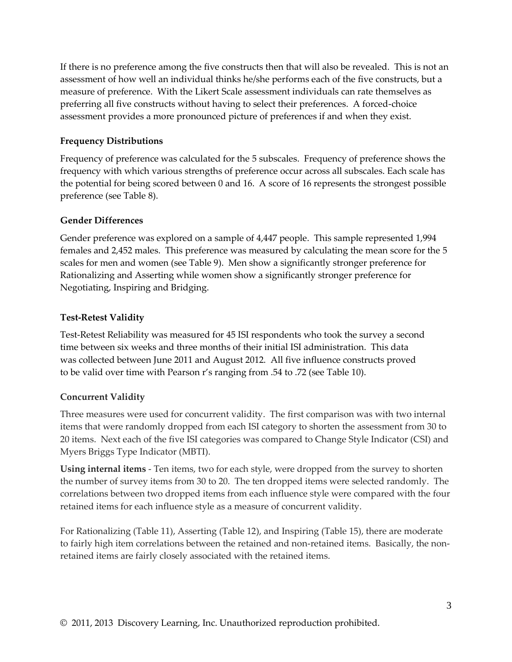If there is no preference among the five constructs then that will also be revealed. This is not an assessment of how well an individual thinks he/she performs each of the five constructs, but a measure of preference. With the Likert Scale assessment individuals can rate themselves as preferring all five constructs without having to select their preferences. A forced-choice assessment provides a more pronounced picture of preferences if and when they exist.

#### **Frequency Distributions**

Frequency of preference was calculated for the 5 subscales. Frequency of preference shows the frequency with which various strengths of preference occur across all subscales. Each scale has the potential for being scored between 0 and 16. A score of 16 represents the strongest possible preference (see Table 8).

#### **Gender Differences**

Gender preference was explored on a sample of 4,447 people. This sample represented 1,994 females and 2,452 males. This preference was measured by calculating the mean score for the 5 scales for men and women (see Table 9). Men show a significantly stronger preference for Rationalizing and Asserting while women show a significantly stronger preference for Negotiating, Inspiring and Bridging.

#### **Test-Retest Validity**

Test-Retest Reliability was measured for 45 ISI respondents who took the survey a second time between six weeks and three months of their initial ISI administration. This data was collected between June 2011 and August 2012. All five influence constructs proved to be valid over time with Pearson r's ranging from .54 to .72 (see Table 10).

#### **Concurrent Validity**

Three measures were used for concurrent validity. The first comparison was with two internal items that were randomly dropped from each ISI category to shorten the assessment from 30 to 20 items. Next each of the five ISI categories was compared to Change Style Indicator (CSI) and Myers Briggs Type Indicator (MBTI).

**Using internal items** - Ten items, two for each style, were dropped from the survey to shorten the number of survey items from 30 to 20. The ten dropped items were selected randomly. The correlations between two dropped items from each influence style were compared with the four retained items for each influence style as a measure of concurrent validity.

For Rationalizing (Table 11), Asserting (Table 12), and Inspiring (Table 15), there are moderate to fairly high item correlations between the retained and non-retained items. Basically, the nonretained items are fairly closely associated with the retained items.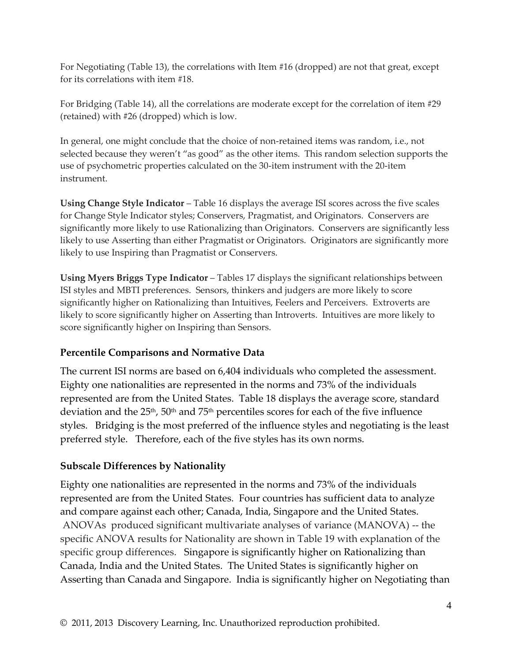For Negotiating (Table 13), the correlations with Item #16 (dropped) are not that great, except for its correlations with item #18.

For Bridging (Table 14), all the correlations are moderate except for the correlation of item #29 (retained) with #26 (dropped) which is low.

In general, one might conclude that the choice of non-retained items was random, i.e., not selected because they weren't "as good" as the other items. This random selection supports the use of psychometric properties calculated on the 30-item instrument with the 20-item instrument.

**Using Change Style Indicator** – Table 16 displays the average ISI scores across the five scales for Change Style Indicator styles; Conservers, Pragmatist, and Originators. Conservers are significantly more likely to use Rationalizing than Originators. Conservers are significantly less likely to use Asserting than either Pragmatist or Originators. Originators are significantly more likely to use Inspiring than Pragmatist or Conservers.

**Using Myers Briggs Type Indicator** – Tables 17 displays the significant relationships between ISI styles and MBTI preferences. Sensors, thinkers and judgers are more likely to score significantly higher on Rationalizing than Intuitives, Feelers and Perceivers. Extroverts are likely to score significantly higher on Asserting than Introverts. Intuitives are more likely to score significantly higher on Inspiring than Sensors.

#### **Percentile Comparisons and Normative Data**

The current ISI norms are based on 6,404 individuals who completed the assessment. Eighty one nationalities are represented in the norms and 73% of the individuals represented are from the United States. Table 18 displays the average score, standard deviation and the  $25<sup>th</sup>$ ,  $50<sup>th</sup>$  and  $75<sup>th</sup>$  percentiles scores for each of the five influence styles. Bridging is the most preferred of the influence styles and negotiating is the least preferred style. Therefore, each of the five styles has its own norms.

#### **Subscale Differences by Nationality**

Eighty one nationalities are represented in the norms and 73% of the individuals represented are from the United States. Four countries has sufficient data to analyze and compare against each other; Canada, India, Singapore and the United States. ANOVAs produced significant multivariate analyses of variance (MANOVA) -- the specific ANOVA results for Nationality are shown in Table 19 with explanation of the specific group differences. Singapore is significantly higher on Rationalizing than Canada, India and the United States. The United States is significantly higher on Asserting than Canada and Singapore. India is significantly higher on Negotiating than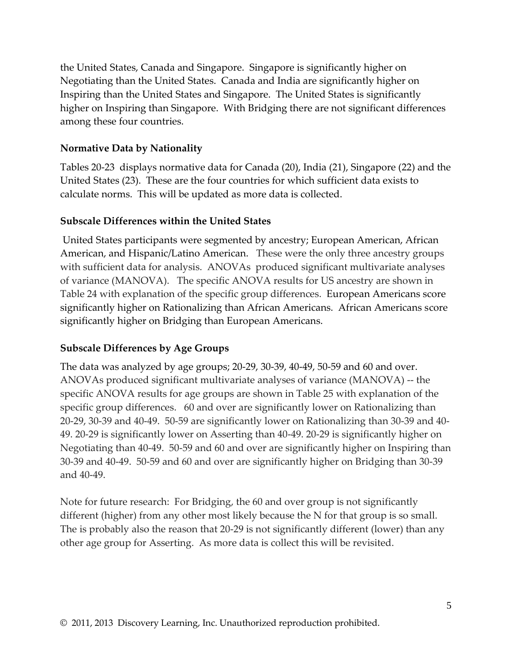the United States, Canada and Singapore. Singapore is significantly higher on Negotiating than the United States. Canada and India are significantly higher on Inspiring than the United States and Singapore. The United States is significantly higher on Inspiring than Singapore. With Bridging there are not significant differences among these four countries.

#### **Normative Data by Nationality**

Tables 20-23 displays normative data for Canada (20), India (21), Singapore (22) and the United States (23). These are the four countries for which sufficient data exists to calculate norms. This will be updated as more data is collected.

#### **Subscale Differences within the United States**

United States participants were segmented by ancestry; European American, African American, and Hispanic/Latino American. These were the only three ancestry groups with sufficient data for analysis. ANOVAs produced significant multivariate analyses of variance (MANOVA). The specific ANOVA results for US ancestry are shown in Table 24 with explanation of the specific group differences. European Americans score significantly higher on Rationalizing than African Americans. African Americans score significantly higher on Bridging than European Americans.

#### **Subscale Differences by Age Groups**

The data was analyzed by age groups; 20-29, 30-39, 40-49, 50-59 and 60 and over. ANOVAs produced significant multivariate analyses of variance (MANOVA) -- the specific ANOVA results for age groups are shown in Table 25 with explanation of the specific group differences. 60 and over are significantly lower on Rationalizing than 20-29, 30-39 and 40-49. 50-59 are significantly lower on Rationalizing than 30-39 and 40- 49. 20-29 is significantly lower on Asserting than 40-49. 20-29 is significantly higher on Negotiating than 40-49. 50-59 and 60 and over are significantly higher on Inspiring than 30-39 and 40-49. 50-59 and 60 and over are significantly higher on Bridging than 30-39 and 40-49.

Note for future research: For Bridging, the 60 and over group is not significantly different (higher) from any other most likely because the N for that group is so small. The is probably also the reason that 20-29 is not significantly different (lower) than any other age group for Asserting. As more data is collect this will be revisited.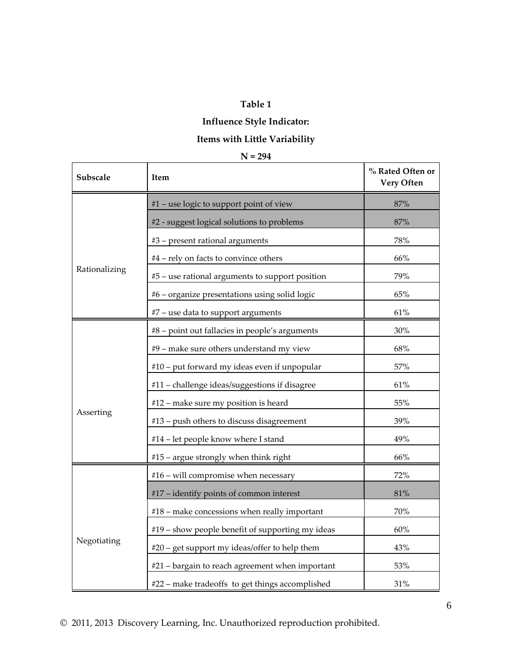## **Influence Style Indicator:**

## **Items with Little Variability**

| Subscale      | Item                                             | % Rated Often or<br>Very Often |
|---------------|--------------------------------------------------|--------------------------------|
|               | #1 - use logic to support point of view          | 87%                            |
|               | #2 - suggest logical solutions to problems       | 87%                            |
|               | #3 - present rational arguments                  | 78%                            |
|               | #4 - rely on facts to convince others            | 66%                            |
| Rationalizing | #5 - use rational arguments to support position  | 79%                            |
|               | #6 - organize presentations using solid logic    | 65%                            |
|               | #7 - use data to support arguments               | 61%                            |
|               | #8 - point out fallacies in people's arguments   | 30%                            |
|               | #9 – make sure others understand my view         | 68%                            |
|               | #10 – put forward my ideas even if unpopular     | 57%                            |
|               | #11 - challenge ideas/suggestions if disagree    | 61%                            |
|               | #12 - make sure my position is heard             | 55%                            |
| Asserting     | #13 - push others to discuss disagreement        | 39%                            |
|               | #14 - let people know where I stand              | 49%                            |
|               | #15 – argue strongly when think right            | 66%                            |
|               | #16 - will compromise when necessary             | 72%                            |
|               | #17 - identify points of common interest         | 81%                            |
|               | #18 – make concessions when really important     | 70%                            |
|               | #19 - show people benefit of supporting my ideas | 60%                            |
| Negotiating   | #20 – get support my ideas/offer to help them    | 43%                            |
|               | #21 – bargain to reach agreement when important  | 53%                            |
|               | #22 - make tradeoffs to get things accomplished  | 31%                            |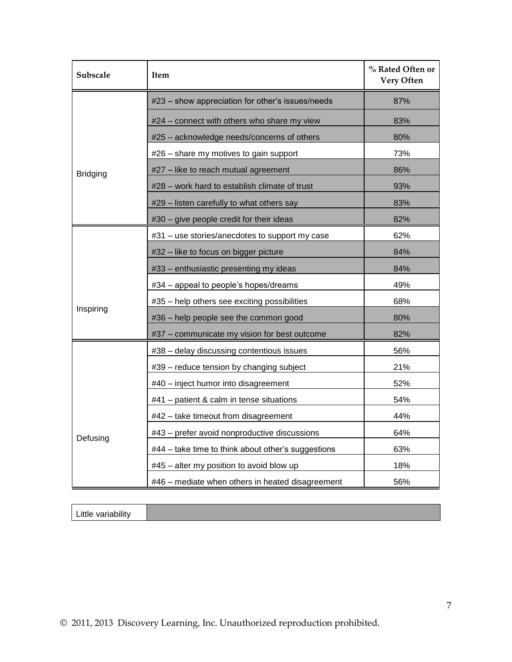| Subscale                               | <b>Item</b>                                        |     |
|----------------------------------------|----------------------------------------------------|-----|
|                                        | #23 - show appreciation for other's issues/needs   | 87% |
|                                        | #24 - connect with others who share my view        | 83% |
|                                        | #25 - acknowledge needs/concerns of others         | 80% |
|                                        | #26 – share my motives to gain support             | 73% |
| <b>Bridging</b>                        | #27 - like to reach mutual agreement               | 86% |
|                                        | #28 - work hard to establish climate of trust      | 93% |
|                                        | #29 - listen carefully to what others say          | 83% |
|                                        | #30 - give people credit for their ideas           | 82% |
|                                        | #31 - use stories/anecdotes to support my case     | 62% |
|                                        | #32 – like to focus on bigger picture              | 84% |
| #33 - enthusiastic presenting my ideas |                                                    | 84% |
|                                        | #34 – appeal to people's hopes/dreams              | 49% |
|                                        | #35 - help others see exciting possibilities       | 68% |
| Inspiring                              | #36 - help people see the common good              | 80% |
|                                        | #37 - communicate my vision for best outcome       | 82% |
|                                        | #38 - delay discussing contentious issues          | 56% |
|                                        | #39 - reduce tension by changing subject           | 21% |
|                                        | #40 - inject humor into disagreement               | 52% |
|                                        | #41 - patient & calm in tense situations           | 54% |
|                                        | #42 - take timeout from disagreement               | 44% |
| Defusing                               | #43 - prefer avoid nonproductive discussions       | 64% |
|                                        | #44 – take time to think about other's suggestions | 63% |
|                                        | #45 - alter my position to avoid blow up           | 18% |
|                                        | #46 - mediate when others in heated disagreement   | 56% |

Little variability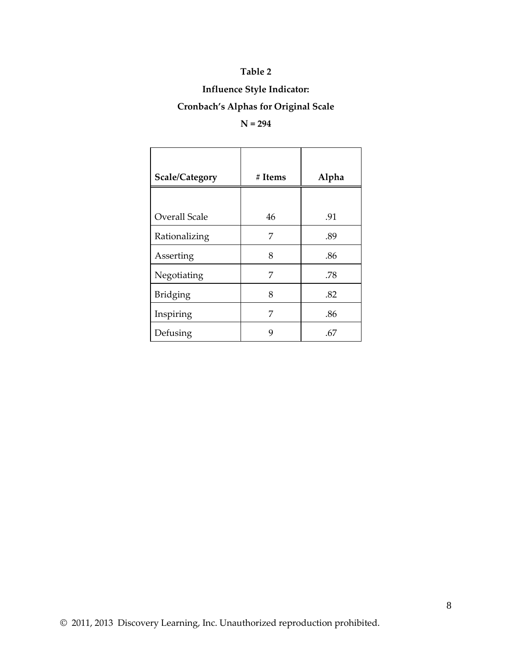## **Influence Style Indicator:**

#### **Cronbach's Alphas for Original Scale**

#### **N = 294**

| <b>Scale/Category</b> | # Items | Alpha |
|-----------------------|---------|-------|
|                       |         |       |
| <b>Overall Scale</b>  | 46      | .91   |
| Rationalizing         | 7       | .89   |
| Asserting             | 8       | .86   |
| Negotiating           | 7       | .78   |
| Bridging              | 8       | .82   |
| Inspiring             | 7       | .86   |
| Defusing              | 9       | .67   |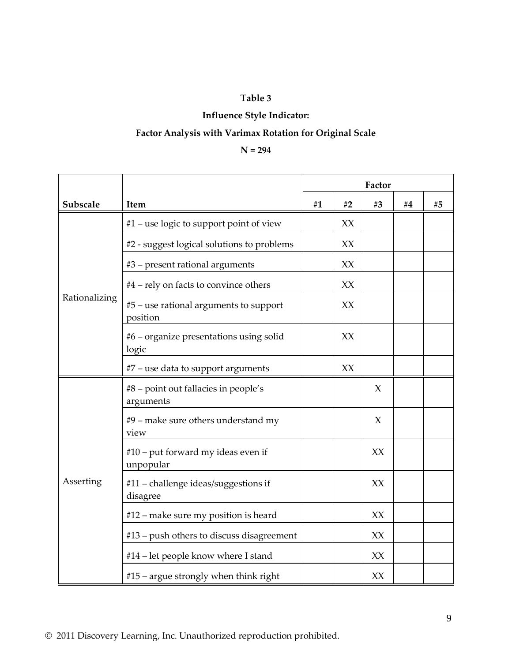#### **Influence Style Indicator:**

## **Factor Analysis with Varimax Rotation for Original Scale**

#### **N = 294**

|                                         |                                                    | Factor |    |        |       |    |
|-----------------------------------------|----------------------------------------------------|--------|----|--------|-------|----|
| Subscale                                | Item                                               | #1     | #2 | #3     | # $4$ | #5 |
|                                         | #1 – use logic to support point of view            |        | XX |        |       |    |
|                                         | #2 - suggest logical solutions to problems         |        | XX |        |       |    |
|                                         | #3 - present rational arguments                    |        | XX |        |       |    |
|                                         | #4 – rely on facts to convince others              |        | XX |        |       |    |
| Rationalizing                           | #5 – use rational arguments to support<br>position |        | XX |        |       |    |
|                                         | #6 - organize presentations using solid<br>logic   |        | XX |        |       |    |
|                                         | #7 - use data to support arguments                 |        | XX |        |       |    |
|                                         | #8 – point out fallacies in people's<br>arguments  |        |    | $\chi$ |       |    |
|                                         | #9 – make sure others understand my<br>view        |        |    | X      |       |    |
|                                         | #10 – put forward my ideas even if<br>unpopular    |        |    | XX     |       |    |
| Asserting                               | #11 - challenge ideas/suggestions if<br>disagree   |        |    | XX     |       |    |
|                                         | #12 – make sure my position is heard               |        |    | XX     |       |    |
|                                         | #13 - push others to discuss disagreement          |        |    | XX     |       |    |
|                                         | #14 – let people know where I stand                |        |    | XX     |       |    |
| $#15$ – argue strongly when think right |                                                    |        |    | XX     |       |    |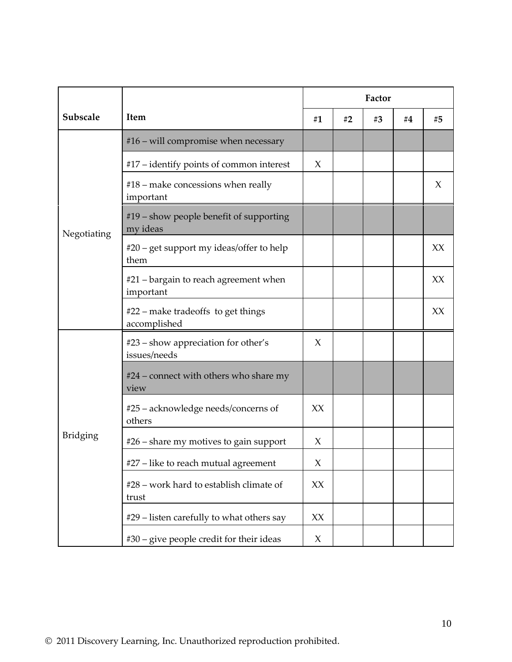|                 |                                                     | Factor |    |    |       |    |
|-----------------|-----------------------------------------------------|--------|----|----|-------|----|
| Subscale        | Item                                                | #1     | #2 | #3 | # $4$ | #5 |
|                 | $#16$ – will compromise when necessary              |        |    |    |       |    |
|                 | #17 – identify points of common interest            | X      |    |    |       |    |
|                 | $#18$ – make concessions when really<br>important   |        |    |    |       | X  |
| Negotiating     | #19 – show people benefit of supporting<br>my ideas |        |    |    |       |    |
|                 | #20 – get support my ideas/offer to help<br>them    |        |    |    |       | XX |
|                 | #21 – bargain to reach agreement when<br>important  |        |    |    |       | XX |
|                 | #22 – make tradeoffs to get things<br>accomplished  |        |    |    |       | XX |
|                 | #23 – show appreciation for other's<br>issues/needs | X      |    |    |       |    |
|                 | #24 – connect with others who share my<br>view      |        |    |    |       |    |
| <b>Bridging</b> | #25 – acknowledge needs/concerns of<br>others       | XX     |    |    |       |    |
|                 | #26 – share my motives to gain support              | X      |    |    |       |    |
|                 | #27 – like to reach mutual agreement                | X      |    |    |       |    |
|                 | #28 - work hard to establish climate of<br>trust    | XX     |    |    |       |    |
|                 | #29 – listen carefully to what others say           | XX     |    |    |       |    |
|                 | #30 - give people credit for their ideas            | X      |    |    |       |    |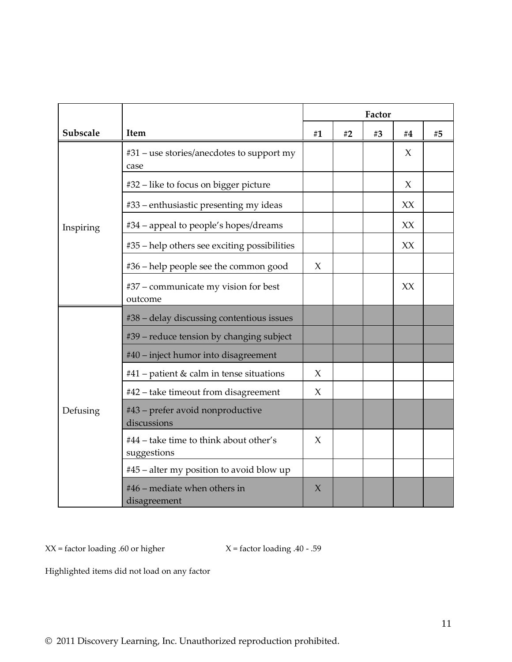|           |                                                       |        | Factor |    |    |    |  |
|-----------|-------------------------------------------------------|--------|--------|----|----|----|--|
| Subscale  | Item                                                  | #1     | #2     | #3 | #4 | #5 |  |
|           | #31 – use stories/anecdotes to support my<br>case     |        |        |    | X  |    |  |
|           | #32 – like to focus on bigger picture                 |        |        |    | X  |    |  |
|           | #33 - enthusiastic presenting my ideas                |        |        |    | XX |    |  |
| Inspiring | #34 – appeal to people's hopes/dreams                 |        |        |    | XX |    |  |
|           | #35 – help others see exciting possibilities          |        |        |    | XX |    |  |
|           | #36 – help people see the common good                 | X      |        |    |    |    |  |
|           | #37 – communicate my vision for best<br>outcome       |        |        |    | XX |    |  |
|           | #38 - delay discussing contentious issues             |        |        |    |    |    |  |
|           | #39 – reduce tension by changing subject              |        |        |    |    |    |  |
|           | #40 - inject humor into disagreement                  |        |        |    |    |    |  |
|           | #41 – patient & calm in tense situations              | X      |        |    |    |    |  |
|           | #42 - take timeout from disagreement                  | $\chi$ |        |    |    |    |  |
| Defusing  | #43 - prefer avoid nonproductive<br>discussions       |        |        |    |    |    |  |
|           | #44 – take time to think about other's<br>suggestions | $\chi$ |        |    |    |    |  |
|           | #45 – alter my position to avoid blow up              |        |        |    |    |    |  |
|           | #46 – mediate when others in<br>disagreement          | X      |        |    |    |    |  |

 $XX =$  factor loading .60 or higher  $X =$  factor loading .40 - .59

Highlighted items did not load on any factor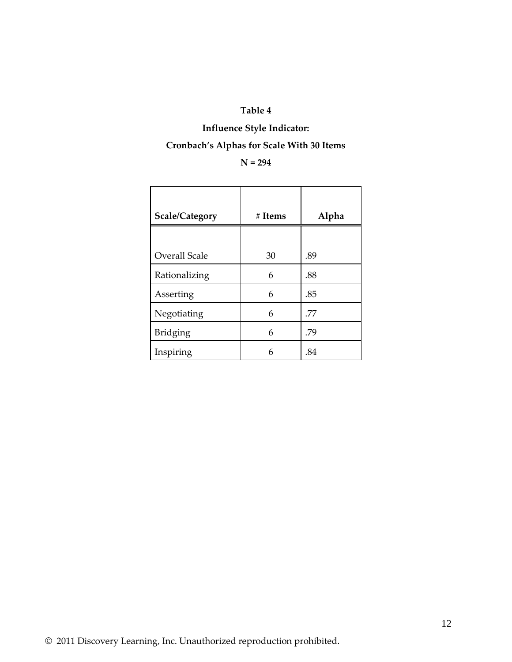#### **Influence Style Indicator:**

## **Cronbach's Alphas for Scale With 30 Items**

#### **N = 294**

| <b>Scale/Category</b> | # Items | Alpha |
|-----------------------|---------|-------|
|                       |         |       |
| Overall Scale         | 30      | .89   |
| Rationalizing         | 6       | .88   |
| Asserting             | 6       | .85   |
| Negotiating           | 6       | .77   |
| <b>Bridging</b>       | 6       | .79   |
| Inspiring             | 6       | .84   |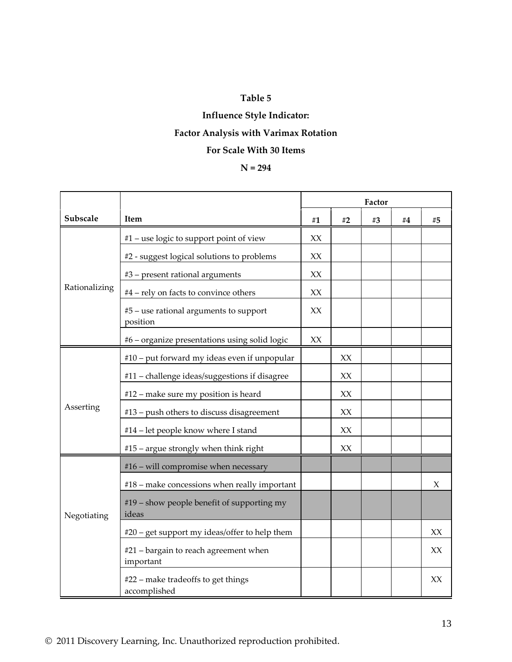## **Influence Style Indicator: Factor Analysis with Varimax Rotation For Scale With 30 Items**

#### **N = 294**

|               |                                                     | Factor |    |    |    |        |
|---------------|-----------------------------------------------------|--------|----|----|----|--------|
| Subscale      | Item                                                | #1     | #2 | #3 | #4 | #5     |
|               | #1 – use logic to support point of view             | XX     |    |    |    |        |
|               | #2 - suggest logical solutions to problems          | XX     |    |    |    |        |
|               | #3 - present rational arguments                     | XX     |    |    |    |        |
| Rationalizing | #4 - rely on facts to convince others               | XX     |    |    |    |        |
|               | #5 - use rational arguments to support<br>position  | XX     |    |    |    |        |
|               | #6 – organize presentations using solid logic       | XX     |    |    |    |        |
|               | #10 - put forward my ideas even if unpopular        |        | XX |    |    |        |
|               | #11 - challenge ideas/suggestions if disagree       |        | XX |    |    |        |
|               | #12 - make sure my position is heard                |        | XX |    |    |        |
| Asserting     | #13 – push others to discuss disagreement           |        | XX |    |    |        |
|               | #14 - let people know where I stand                 |        | XX |    |    |        |
|               | #15 - argue strongly when think right               |        | XX |    |    |        |
|               | #16 - will compromise when necessary                |        |    |    |    |        |
|               | #18 - make concessions when really important        |        |    |    |    | $\chi$ |
| Negotiating   | #19 - show people benefit of supporting my<br>ideas |        |    |    |    |        |
|               | #20 – get support my ideas/offer to help them       |        |    |    |    | XX     |
|               | #21 – bargain to reach agreement when<br>important  |        |    |    |    | XX     |
|               | #22 - make tradeoffs to get things<br>accomplished  |        |    |    |    | XX     |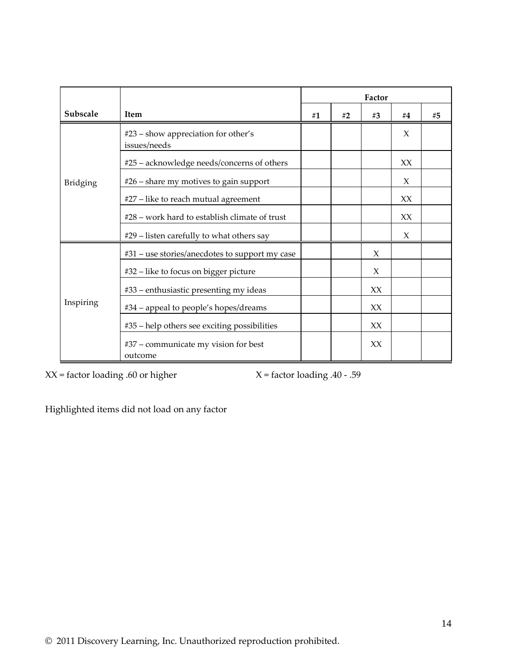|           |                                                     | Factor |    |    |    |    |
|-----------|-----------------------------------------------------|--------|----|----|----|----|
| Subscale  | <b>Item</b>                                         | #1     | #2 | #3 | #4 | #5 |
|           | #23 - show appreciation for other's<br>issues/needs |        |    |    | X  |    |
|           | #25 - acknowledge needs/concerns of others          |        |    |    | XX |    |
| Bridging  | $#26$ – share my motives to gain support            |        |    |    | X  |    |
|           | #27 - like to reach mutual agreement                |        |    |    | XX |    |
|           | #28 - work hard to establish climate of trust       |        |    |    | XX |    |
|           | #29 - listen carefully to what others say           |        |    |    | X  |    |
|           | #31 – use stories/anecdotes to support my case      |        |    | X  |    |    |
|           | #32 – like to focus on bigger picture               |        |    | X  |    |    |
|           | #33 – enthusiastic presenting my ideas              |        |    | XX |    |    |
| Inspiring | #34 - appeal to people's hopes/dreams               |        |    | XX |    |    |
|           | #35 - help others see exciting possibilities        |        |    | XX |    |    |
|           | #37 - communicate my vision for best<br>outcome     |        |    | XX |    |    |

 $XX =$  factor loading .60 or higher  $X =$  factor loading .40 - .59

Highlighted items did not load on any factor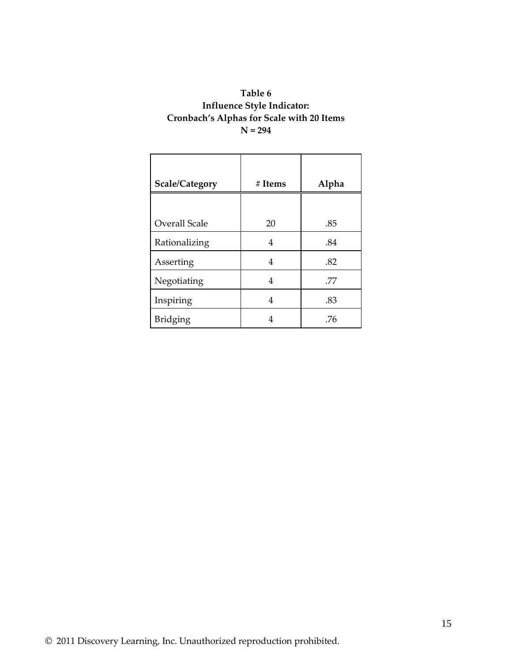#### **Table 6 Influence Style Indicator: Cronbach's Alphas for Scale with 20 Items N = 294**

| Scale/Category       | # Items | Alpha |
|----------------------|---------|-------|
|                      |         |       |
| <b>Overall Scale</b> | 20      | .85   |
| Rationalizing        | 4       | .84   |
| Asserting            | 4       | .82   |
| Negotiating          | 4       | .77   |
| Inspiring            | 4       | .83   |
| <b>Bridging</b>      | 4       | .76   |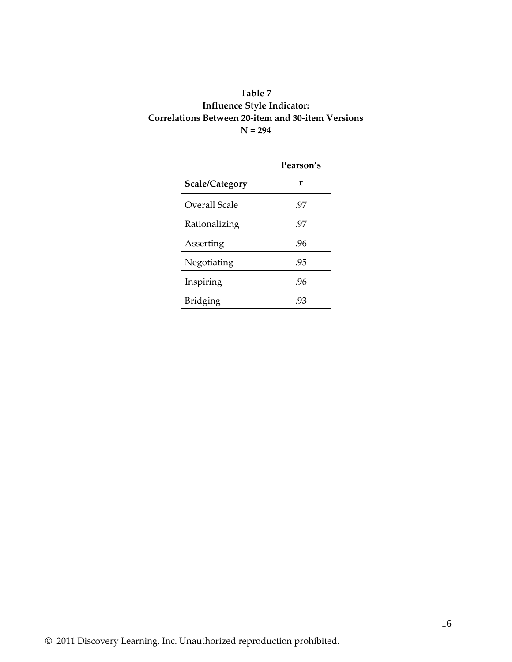#### **Table 7 Influence Style Indicator: Correlations Between 20-item and 30-item Versions N = 294**

|                | Pearson's |
|----------------|-----------|
| Scale/Category | r         |
| Overall Scale  | .97       |
| Rationalizing  | .97       |
| Asserting      | .96       |
| Negotiating    | .95       |
| Inspiring      | .96       |
| Bridging       | .93       |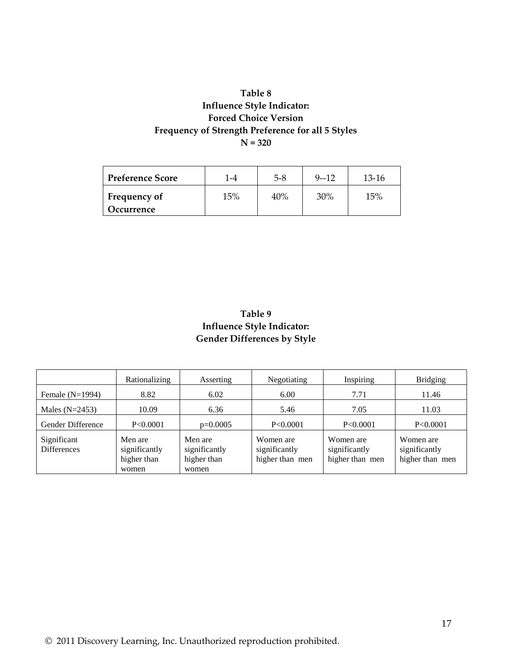#### **Table 8 Influence Style Indicator: Forced Choice Version Frequency of Strength Preference for all 5 Styles N = 320**

| <b>Preference Score</b>           | $-4$ | $5 - 8$ | $9 - 12$ | $13-16$ |
|-----------------------------------|------|---------|----------|---------|
| <b>Frequency of</b><br>Occurrence | 15%  | 40%     | 30%      | 15%     |

#### **Table 9 Influence Style Indicator: Gender Differences by Style**

|                                   | Rationalizing                                    | Asserting                                        | Negotiating                                   | Inspiring                                     | <b>Bridging</b>                               |
|-----------------------------------|--------------------------------------------------|--------------------------------------------------|-----------------------------------------------|-----------------------------------------------|-----------------------------------------------|
| Female $(N=1994)$                 | 8.82                                             | 6.02                                             | 6.00                                          | 7.71                                          | 11.46                                         |
| Males $(N=2453)$                  | 10.09                                            | 6.36                                             | 5.46                                          | 7.05                                          | 11.03                                         |
| Gender Difference                 | P<0.0001                                         | $p=0.0005$                                       | P<0.0001                                      | P<0.0001                                      | P<0.0001                                      |
| Significant<br><b>Differences</b> | Men are<br>significantly<br>higher than<br>women | Men are<br>significantly<br>higher than<br>women | Women are<br>significantly<br>higher than men | Women are<br>significantly<br>higher than men | Women are<br>significantly<br>higher than men |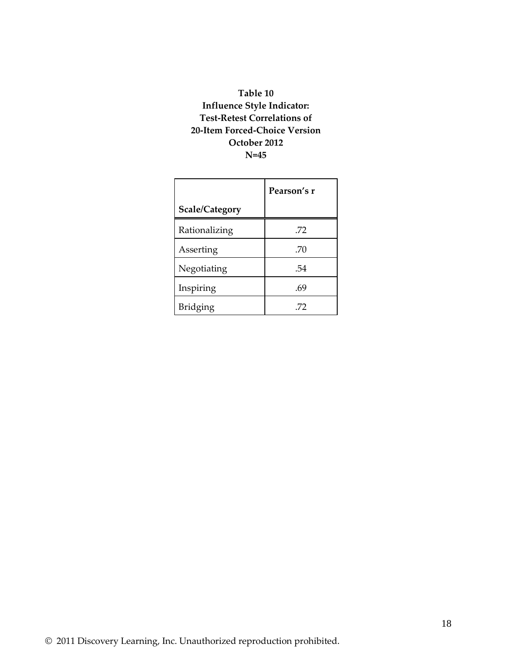#### **Table 10 Influence Style Indicator: Test-Retest Correlations of 20-Item Forced-Choice Version October 2012 N=45**

|                 | Pearson's r |  |
|-----------------|-------------|--|
| Scale/Category  |             |  |
| Rationalizing   | .72         |  |
| Asserting       | .70         |  |
| Negotiating     | .54         |  |
| Inspiring       | .69         |  |
| <b>Bridging</b> | .72         |  |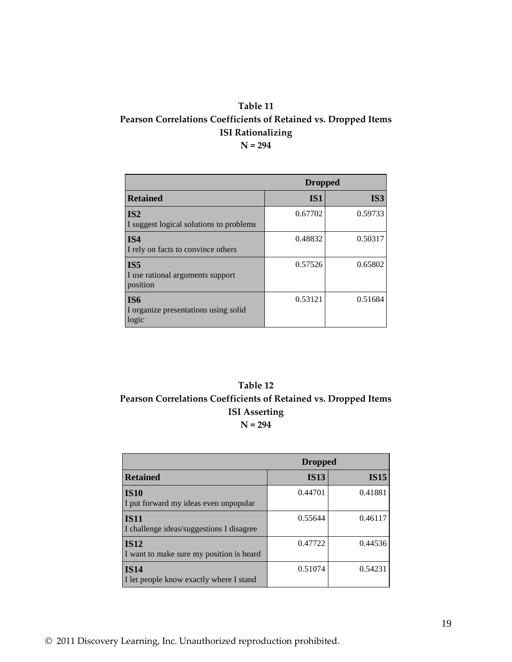#### **Table 11 Pearson Correlations Coefficients of Retained vs. Dropped Items ISI Rationalizing N = 294**

|                                                                 | <b>Dropped</b> |                 |  |
|-----------------------------------------------------------------|----------------|-----------------|--|
| <b>Retained</b>                                                 | <b>IS1</b>     | IS <sub>3</sub> |  |
| IS <sub>2</sub><br>I suggest logical solutions to problems      | 0.67702        | 0.59733         |  |
| IS4<br>I rely on facts to convince others                       | 0.48832        | 0.50317         |  |
| IS <sub>5</sub><br>I use rational arguments support<br>position | 0.57526        | 0.65802         |  |
| <b>IS6</b><br>I organize presentations using solid<br>logic     | 0.53121        | 0.51684         |  |

#### **Table 12 Pearson Correlations Coefficients of Retained vs. Dropped Items ISI Asserting N = 294**

|                                                         | <b>Dropped</b> |             |  |
|---------------------------------------------------------|----------------|-------------|--|
| <b>Retained</b>                                         | <b>IS13</b>    | <b>IS15</b> |  |
| <b>IS10</b><br>I put forward my ideas even unpopular    | 0.44701        | 0.41881     |  |
| <b>IS11</b><br>I challenge ideas/suggestions I disagree | 0.55644        | 0.46117     |  |
| <b>IS12</b><br>I want to make sure my position is heard | 0.47722        | 0.44536     |  |
| <b>IS14</b><br>I let people know exactly where I stand  | 0.51074        | 0.54231     |  |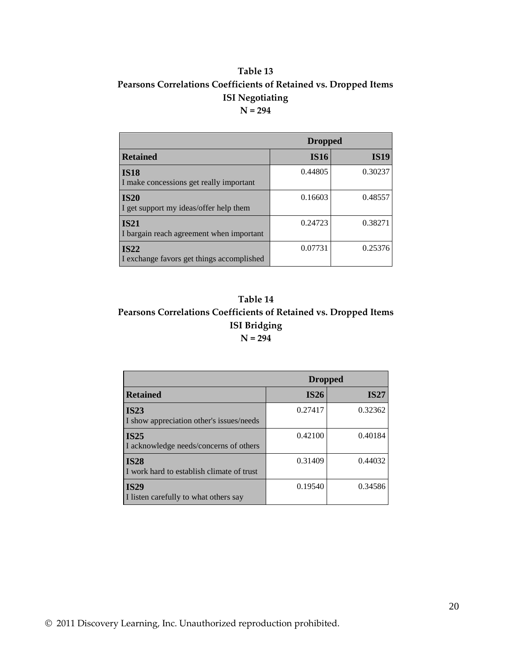#### **Table 13 Pearsons Correlations Coefficients of Retained vs. Dropped Items ISI Negotiating N = 294**

|                                                          | <b>Dropped</b> |             |  |
|----------------------------------------------------------|----------------|-------------|--|
| <b>Retained</b>                                          | <b>IS16</b>    | <b>IS19</b> |  |
| <b>IS18</b><br>I make concessions get really important   | 0.44805        | 0.30237     |  |
| <b>IS20</b><br>I get support my ideas/offer help them    | 0.16603        | 0.48557     |  |
| <b>IS21</b><br>I bargain reach agreement when important  | 0.24723        | 0.38271     |  |
| <b>IS22</b><br>I exchange favors get things accomplished | 0.07731        | 0.25376     |  |

#### **Table 14 Pearsons Correlations Coefficients of Retained vs. Dropped Items ISI Bridging N = 294**

|                                                          | <b>Dropped</b> |             |
|----------------------------------------------------------|----------------|-------------|
| <b>Retained</b>                                          | IS26           | <b>IS27</b> |
| <b>IS23</b><br>I show appreciation other's issues/needs  | 0.27417        | 0.32362     |
| <b>IS25</b><br>I acknowledge needs/concerns of others    | 0.42100        | 0.40184     |
| <b>IS28</b><br>I work hard to establish climate of trust | 0.31409        | 0.44032     |
| <b>IS29</b><br>I listen carefully to what others say     | 0.19540        | 0.34586     |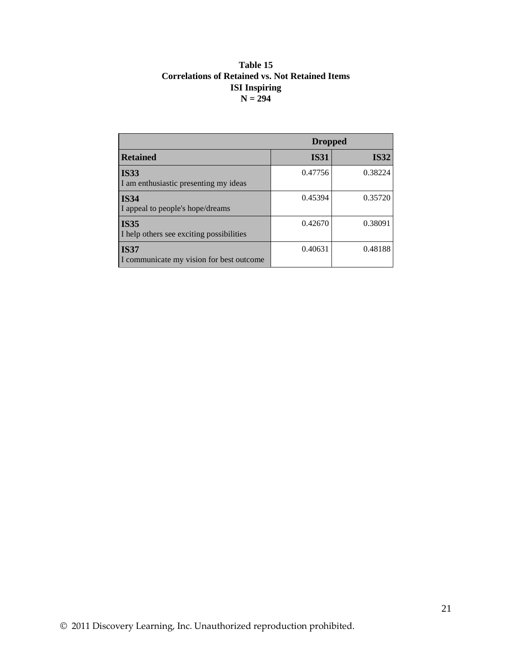#### **Table 15 Correlations of Retained vs. Not Retained Items ISI Inspiring N = 294**

|                                                         | <b>Dropped</b> |             |  |
|---------------------------------------------------------|----------------|-------------|--|
| <b>Retained</b>                                         | <b>IS31</b>    | <b>IS32</b> |  |
| <b>IS33</b><br>I am enthusiastic presenting my ideas    | 0.47756        | 0.38224     |  |
| <b>IS34</b><br>I appeal to people's hope/dreams         | 0.45394        | 0.35720     |  |
| <b>IS35</b><br>I help others see exciting possibilities | 0.42670        | 0.38091     |  |
| <b>IS37</b><br>I communicate my vision for best outcome | 0.40631        | 0.48188     |  |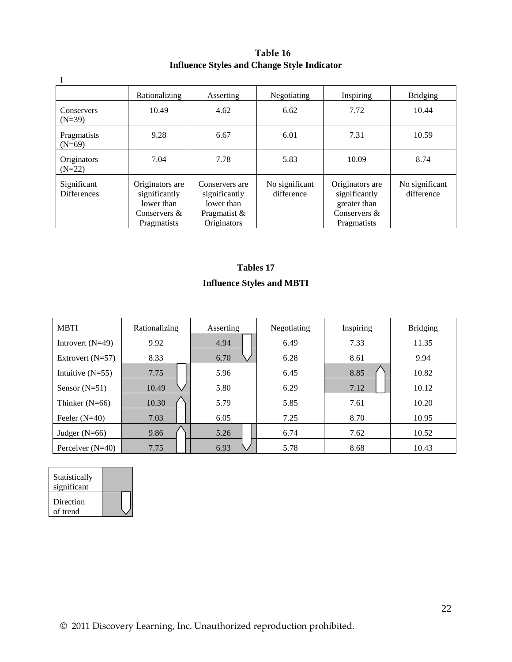#### **Table 16 Influence Styles and Change Style Indicator**

|                                   | Rationalizing                                                                   | Asserting                                                                    | Negotiating                  | Inspiring                                                                              | <b>Bridging</b>              |
|-----------------------------------|---------------------------------------------------------------------------------|------------------------------------------------------------------------------|------------------------------|----------------------------------------------------------------------------------------|------------------------------|
| Conservers<br>$(N=39)$            | 10.49                                                                           | 4.62                                                                         | 6.62                         | 7.72                                                                                   | 10.44                        |
| Pragmatists<br>$(N=69)$           | 9.28                                                                            | 6.67                                                                         | 6.01                         | 7.31                                                                                   | 10.59                        |
| Originators<br>$(N=22)$           | 7.04                                                                            | 7.78                                                                         | 5.83                         | 10.09                                                                                  | 8.74                         |
| Significant<br><b>Differences</b> | Originators are<br>significantly<br>lower than<br>Conservers $&$<br>Pragmatists | Conservers are<br>significantly<br>lower than<br>Pragmatist &<br>Originators | No significant<br>difference | Originators are<br>significantly<br>greater than<br>Conservers &<br><b>Pragmatists</b> | No significant<br>difference |

## **Tables 17**

#### **Influence Styles and MBTI**

| <b>MBTI</b>        | Rationalizing | Asserting | Inspiring<br>Negotiating |      | <b>Bridging</b> |
|--------------------|---------------|-----------|--------------------------|------|-----------------|
| Introvert $(N=49)$ | 9.92          | 4.94      | 6.49                     | 7.33 | 11.35           |
| Extrovert $(N=57)$ | 8.33          | 6.70      | 6.28                     | 8.61 | 9.94            |
| Intuitive $(N=55)$ | 7.75          | 5.96      | 6.45                     | 8.85 | 10.82           |
| Sensor $(N=51)$    | 10.49         | 5.80      | 6.29                     | 7.12 | 10.12           |
| Thinker $(N=66)$   | 10.30         | 5.79      | 5.85                     | 7.61 | 10.20           |
| Feeler $(N=40)$    | 7.03          | 6.05      | 7.25                     | 8.70 | 10.95           |
| Judger $(N=66)$    | 9.86          | 5.26      | 6.74                     | 7.62 | 10.52           |
| Perceiver $(N=40)$ | 7.75          | 6.93      | 5.78                     | 8.68 | 10.43           |

| Statistically<br>significant |  |
|------------------------------|--|
| Direction<br>of trend        |  |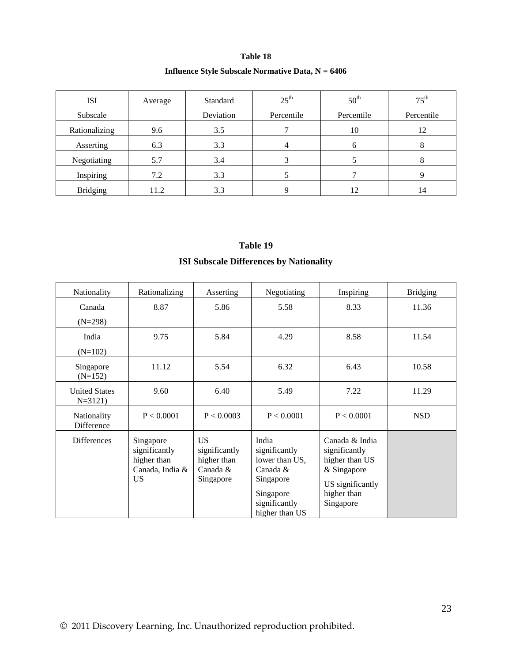#### **Influence Style Subscale Normative Data, N = 6406**

| <b>ISI</b>      | Average | Standard  | $25^{\text{th}}$ | 50 <sup>th</sup> | $75^{\text{th}}$ |
|-----------------|---------|-----------|------------------|------------------|------------------|
| Subscale        |         | Deviation | Percentile       | Percentile       | Percentile       |
| Rationalizing   | 9.6     | 3.5       |                  | 10               | 12               |
| Asserting       | 6.3     | 3.3       |                  | n                | Õ                |
| Negotiating     | 5.7     | 3.4       |                  |                  | 8                |
| Inspiring       | 7.2     | 3.3       |                  |                  |                  |
| <b>Bridging</b> | 11.2    | 3.3       |                  | 12               | 14               |

## **Table 19 ISI Subscale Differences by Nationality**

| Nationality                        | Rationalizing                                                             | Asserting                                                          | Negotiating                                                                                                       | Inspiring                                                                                                        | <b>Bridging</b> |
|------------------------------------|---------------------------------------------------------------------------|--------------------------------------------------------------------|-------------------------------------------------------------------------------------------------------------------|------------------------------------------------------------------------------------------------------------------|-----------------|
| Canada<br>$(N=298)$                | 8.87                                                                      | 5.86                                                               | 5.58                                                                                                              | 8.33                                                                                                             | 11.36           |
| India<br>$(N=102)$                 | 9.75                                                                      | 5.84                                                               | 4.29                                                                                                              | 8.58                                                                                                             | 11.54           |
| Singapore<br>$(N=152)$             | 11.12                                                                     | 5.54                                                               | 6.32                                                                                                              | 6.43                                                                                                             | 10.58           |
| <b>United States</b><br>$N = 3121$ | 9.60                                                                      | 6.40                                                               | 5.49                                                                                                              | 7.22                                                                                                             | 11.29           |
| Nationality<br>Difference          | P < 0.0001                                                                | P < 0.0003                                                         | P < 0.0001                                                                                                        | P < 0.0001                                                                                                       | <b>NSD</b>      |
| <b>Differences</b>                 | Singapore<br>significantly<br>higher than<br>Canada, India &<br><b>US</b> | <b>US</b><br>significantly<br>higher than<br>Canada &<br>Singapore | India<br>significantly<br>lower than US,<br>Canada &<br>Singapore<br>Singapore<br>significantly<br>higher than US | Canada & India<br>significantly<br>higher than US<br>& Singapore<br>US significantly<br>higher than<br>Singapore |                 |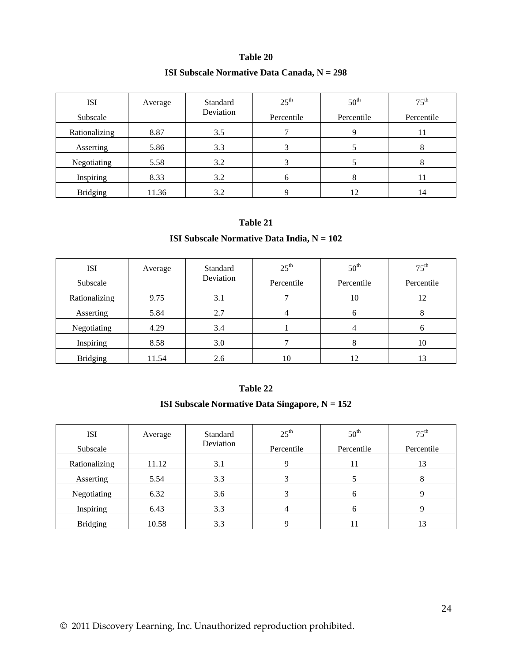#### **ISI Subscale Normative Data Canada, N = 298**

| <b>ISI</b>      | Average | Standard<br>Deviation | $25^{\text{th}}$ | 50 <sup>th</sup> | $75^{\text{th}}$ |
|-----------------|---------|-----------------------|------------------|------------------|------------------|
| Subscale        |         |                       | Percentile       | Percentile       | Percentile       |
| Rationalizing   | 8.87    | 3.5                   |                  | 9                | 11               |
| Asserting       | 5.86    | 3.3                   |                  |                  | 8                |
| Negotiating     | 5.58    | 3.2                   |                  |                  |                  |
| Inspiring       | 8.33    | 3.2                   | h.               | 8                | 11               |
| <b>Bridging</b> | 11.36   | 3.2                   |                  | 12               | 14               |

#### **Table 21**

#### **ISI Subscale Normative Data India, N = 102**

| <b>ISI</b><br>Subscale | Average | Standard<br>Deviation | $25^{\text{th}}$<br>Percentile | $50^{\text{th}}$<br>Percentile | $75^{\text{th}}$<br>Percentile |  |
|------------------------|---------|-----------------------|--------------------------------|--------------------------------|--------------------------------|--|
| Rationalizing          | 9.75    | 3.1                   | 10                             |                                | 12                             |  |
| Asserting              | 5.84    | 2.7                   |                                | <sub>0</sub>                   |                                |  |
| Negotiating            | 4.29    | 3.4                   |                                |                                |                                |  |
| Inspiring              | 8.58    | 3.0                   |                                |                                | 10                             |  |
| <b>Bridging</b>        | 11.54   | 2.6                   | 10                             | 12                             | 13                             |  |

#### **Table 22**

#### **ISI Subscale Normative Data Singapore, N = 152**

| <b>ISI</b><br>Subscale | Average | Standard<br>Deviation | $25^{\text{th}}$<br>Percentile | 50 <sup>th</sup><br>Percentile | $75^{\text{th}}$<br>Percentile |
|------------------------|---------|-----------------------|--------------------------------|--------------------------------|--------------------------------|
| Rationalizing          | 11.12   | 3.1                   |                                | 11                             | 13                             |
| Asserting              | 5.54    | 3.3                   |                                |                                |                                |
| Negotiating            | 6.32    | 3.6                   |                                | n                              |                                |
| Inspiring              | 6.43    | 3.3                   |                                | h                              |                                |
| <b>Bridging</b>        | 10.58   | 3.3                   |                                |                                | 13                             |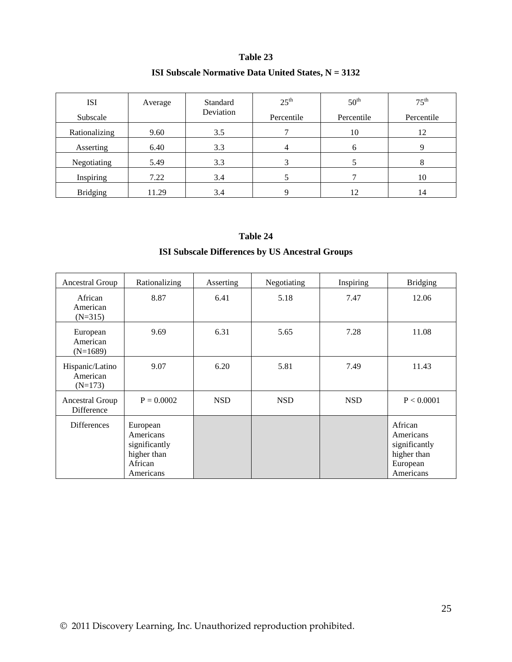#### **ISI Subscale Normative Data United States, N = 3132**

| <b>ISI</b><br>Subscale | Average | Standard<br>Deviation | $25^{\text{th}}$<br>Percentile | 50 <sup>th</sup><br>Percentile | $75^{\text{th}}$<br>Percentile |
|------------------------|---------|-----------------------|--------------------------------|--------------------------------|--------------------------------|
| Rationalizing          | 9.60    | 3.5                   |                                | 10                             | 12                             |
| Asserting              | 6.40    | 3.3                   | 4                              | <sub>b</sub>                   |                                |
| Negotiating            | 5.49    | 3.3                   |                                |                                |                                |
| Inspiring              | 7.22    | 3.4                   |                                |                                | 10                             |
| <b>Bridging</b>        | 11.29   | 3.4                   |                                | 12                             | 14                             |

# **Table 24**

#### **ISI Subscale Differences by US Ancestral Groups**

| Ancestral Group                          | Rationalizing                                                                 | Asserting  | Negotiating | Inspiring  | <b>Bridging</b>                                                               |
|------------------------------------------|-------------------------------------------------------------------------------|------------|-------------|------------|-------------------------------------------------------------------------------|
| African<br>American<br>$(N=315)$         | 8.87                                                                          | 6.41       | 5.18        | 7.47       | 12.06                                                                         |
| European<br>American<br>$(N=1689)$       | 9.69                                                                          | 6.31       | 5.65        | 7.28       | 11.08                                                                         |
| Hispanic/Latino<br>American<br>$(N=173)$ | 9.07                                                                          | 6.20       | 5.81        | 7.49       | 11.43                                                                         |
| Ancestral Group<br><b>Difference</b>     | $P = 0.0002$                                                                  | <b>NSD</b> | <b>NSD</b>  | <b>NSD</b> | P < 0.0001                                                                    |
| <b>Differences</b>                       | European<br>Americans<br>significantly<br>higher than<br>African<br>Americans |            |             |            | African<br>Americans<br>significantly<br>higher than<br>European<br>Americans |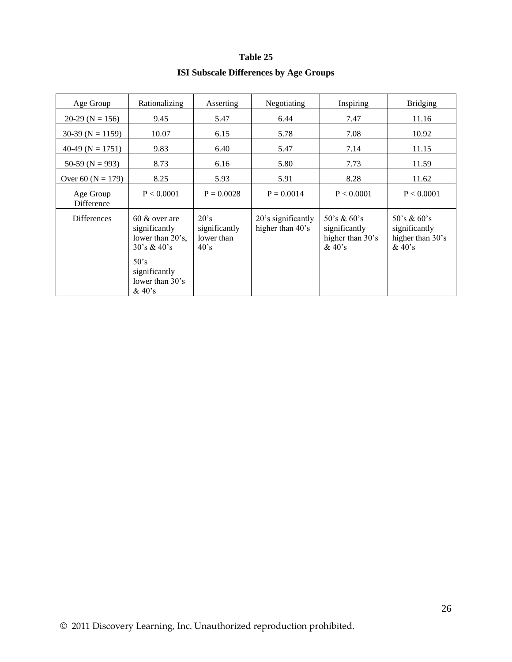#### **ISI Subscale Differences by Age Groups**

| Age Group               | Rationalizing                                                                                                                       | Asserting                                             | Negotiating                            | Inspiring                                                   | <b>Bridging</b>                                           |
|-------------------------|-------------------------------------------------------------------------------------------------------------------------------------|-------------------------------------------------------|----------------------------------------|-------------------------------------------------------------|-----------------------------------------------------------|
| $20-29$ (N = 156)       | 9.45                                                                                                                                | 6.44<br>5.47                                          |                                        | 7.47                                                        |                                                           |
| $30-39$ (N = 1159)      | 10.07                                                                                                                               | 6.15                                                  | 5.78<br>7.08                           |                                                             | 10.92                                                     |
| 40-49 ( $N = 1751$ )    | 9.83                                                                                                                                | 6.40                                                  | 5.47                                   | 7.14                                                        | 11.15                                                     |
| 50-59 ( $N = 993$ )     | 8.73                                                                                                                                | 6.16                                                  | 5.80                                   | 7.73                                                        | 11.59                                                     |
| Over 60 $(N = 179)$     | 8.25                                                                                                                                | 5.93                                                  | 5.91                                   | 8.28                                                        | 11.62                                                     |
| Age Group<br>Difference | P < 0.0001                                                                                                                          | $P = 0.0028$                                          | $P = 0.0014$                           | P < 0.0001                                                  | P < 0.0001                                                |
| <b>Differences</b>      | $60 \&$ over are<br>significantly<br>lower than 20's,<br>30's & 40's<br>$50^{\circ}$ s<br>significantly<br>lower than 30's<br>&40's | 20's<br>significantly<br>lower than<br>$40^{\circ}$ s | 20's significantly<br>higher than 40's | 50's & $60's$<br>significantly<br>higher than 30's<br>&40's | 50's & 60's<br>significantly<br>higher than 30's<br>&40's |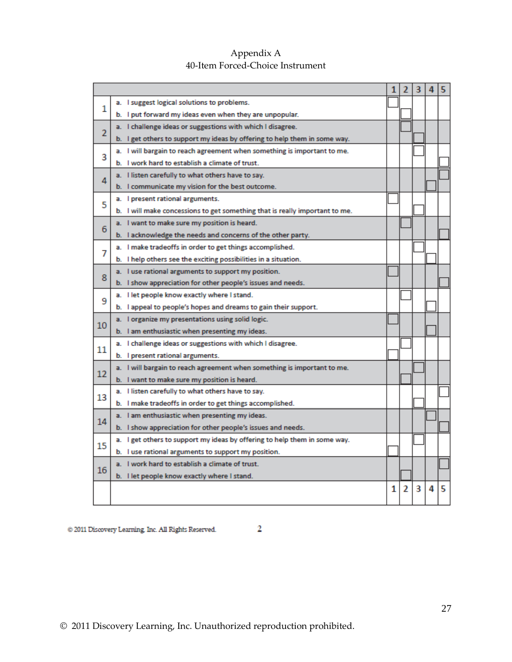|                |                                                                             |   |                | 3 | 4 | 5. |
|----------------|-----------------------------------------------------------------------------|---|----------------|---|---|----|
| 1              | a. I suggest logical solutions to problems.                                 |   |                |   |   |    |
|                | b. I put forward my ideas even when they are unpopular.                     |   |                |   |   |    |
| $\overline{2}$ | a. I challenge ideas or suggestions with which I disagree.                  |   |                |   |   |    |
|                | b. I get others to support my ideas by offering to help them in some way.   |   |                |   |   |    |
| 3              | a. I will bargain to reach agreement when something is important to me.     |   |                |   |   |    |
|                | b. I work hard to establish a climate of trust.                             |   |                |   |   |    |
| 4              | a. I listen carefully to what others have to say.                           |   |                |   |   |    |
|                | b. I communicate my vision for the best outcome.                            |   |                |   |   |    |
| 5              | a. I present rational arguments.                                            |   |                |   |   |    |
|                | b. I will make concessions to get something that is really important to me. |   |                |   |   |    |
| 6              | a. I want to make sure my position is heard.                                |   |                |   |   |    |
|                | b. I acknowledge the needs and concerns of the other party.                 |   |                |   |   |    |
| 7              | a. I make tradeoffs in order to get things accomplished.                    |   |                |   |   |    |
|                | b. I help others see the exciting possibilities in a situation.             |   |                |   |   |    |
| 8              | a. I use rational arguments to support my position.                         |   |                |   |   |    |
|                | b. I show appreciation for other people's issues and needs.                 |   |                |   |   |    |
| 9              | a. I let people know exactly where I stand.                                 |   |                |   |   |    |
|                | b. I appeal to people's hopes and dreams to gain their support.             |   |                |   |   |    |
| 10             | a. I organize my presentations using solid logic.                           |   |                |   |   |    |
|                | b. I am enthusiastic when presenting my ideas.                              |   |                |   |   |    |
| 11             | a. I challenge ideas or suggestions with which I disagree.                  |   |                |   |   |    |
|                | b. I present rational arguments.                                            |   |                |   |   |    |
| 12             | a. I will bargain to reach agreement when something is important to me.     |   |                |   |   |    |
|                | b. I want to make sure my position is heard.                                |   |                |   |   |    |
| 13             | a. I listen carefully to what others have to say.                           |   |                |   |   |    |
|                | b. I make tradeoffs in order to get things accomplished.                    |   |                |   |   |    |
| 14             | a. I am enthusiastic when presenting my ideas.                              |   |                |   |   |    |
|                | b. I show appreciation for other people's issues and needs.                 |   |                |   |   |    |
| 15             | a. I get others to support my ideas by offering to help them in some way.   |   |                |   |   |    |
|                | b. I use rational arguments to support my position.                         |   |                |   |   |    |
| 16             | a. I work hard to establish a climate of trust.                             |   |                |   |   |    |
|                | b. I let people know exactly where I stand.                                 |   |                |   |   |    |
|                |                                                                             | 1 | $\overline{2}$ | 3 | 4 | 5  |
|                |                                                                             |   |                |   |   |    |

#### Appendix A 40-Item Forced-Choice Instrument

@ 2011 Discovery Learning, Inc. All Rights Reserved.

 $\sim$  2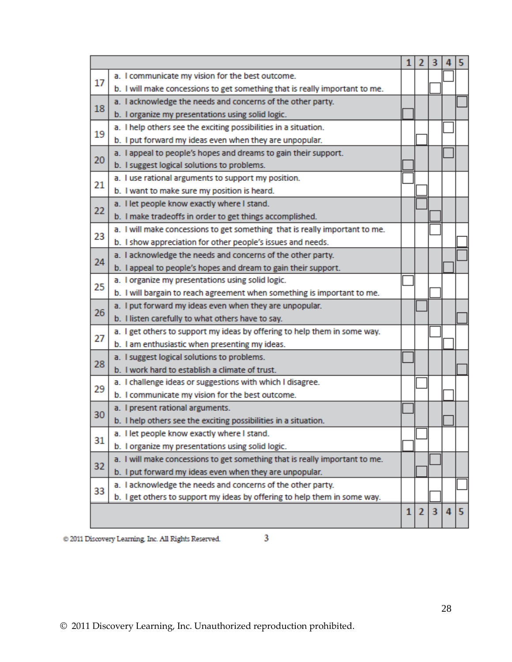|    |                                                                             | 1            | $\mathbf{2}$   | 3                       |   | 5 |
|----|-----------------------------------------------------------------------------|--------------|----------------|-------------------------|---|---|
| 17 | a. I communicate my vision for the best outcome.                            |              |                |                         |   |   |
|    | b. I will make concessions to get something that is really important to me. |              |                |                         |   |   |
| 18 | a. I acknowledge the needs and concerns of the other party.                 |              |                |                         |   |   |
|    | b. I organize my presentations using solid logic.                           |              |                |                         |   |   |
| 19 | a. I help others see the exciting possibilities in a situation.             |              |                |                         |   |   |
|    | b. I put forward my ideas even when they are unpopular.                     |              |                |                         |   |   |
| 20 | a. I appeal to people's hopes and dreams to gain their support.             |              |                |                         |   |   |
|    | b. I suggest logical solutions to problems.                                 |              |                |                         |   |   |
| 21 | a. I use rational arguments to support my position.                         |              |                |                         |   |   |
|    | b. I want to make sure my position is heard.                                |              |                |                         |   |   |
| 22 | a. I let people know exactly where I stand.                                 |              |                |                         |   |   |
|    | b. I make tradeoffs in order to get things accomplished.                    |              |                |                         |   |   |
| 23 | a. I will make concessions to get something that is really important to me. |              |                |                         |   |   |
|    | b. I show appreciation for other people's issues and needs.                 |              |                |                         |   |   |
| 24 | a. I acknowledge the needs and concerns of the other party.                 |              |                |                         |   |   |
|    | b. I appeal to people's hopes and dream to gain their support.              |              |                |                         |   |   |
| 25 | a. I organize my presentations using solid logic.                           |              |                |                         |   |   |
|    | b. I will bargain to reach agreement when something is important to me.     |              |                |                         |   |   |
| 26 | a. I put forward my ideas even when they are unpopular.                     |              |                |                         |   |   |
|    | b. I listen carefully to what others have to say.                           |              |                |                         |   |   |
| 27 | a. I get others to support my ideas by offering to help them in some way.   |              |                |                         |   |   |
|    | b. I am enthusiastic when presenting my ideas.                              |              |                |                         |   |   |
| 28 | a. I suggest logical solutions to problems.                                 |              |                |                         |   |   |
|    | b. I work hard to establish a climate of trust.                             |              |                |                         |   |   |
| 29 | a. I challenge ideas or suggestions with which I disagree.                  |              |                |                         |   |   |
|    | b. I communicate my vision for the best outcome.                            |              |                |                         |   |   |
| 30 | a. I present rational arguments.                                            |              |                |                         |   |   |
|    | b. I help others see the exciting possibilities in a situation.             |              |                |                         |   |   |
| 31 | a. I let people know exactly where I stand.                                 |              |                |                         |   |   |
|    | b. I organize my presentations using solid logic.                           |              |                |                         |   |   |
| 32 | a. I will make concessions to get something that is really important to me. |              |                |                         |   |   |
|    | b. I put forward my ideas even when they are unpopular.                     |              |                |                         |   |   |
| 33 | a. I acknowledge the needs and concerns of the other party.                 |              |                |                         |   |   |
|    | b. I get others to support my ideas by offering to help them in some way.   |              |                |                         |   |   |
|    |                                                                             | $\mathbf{1}$ | $\overline{2}$ | $\overline{\mathbf{3}}$ | 4 | 5 |

 $\otimes$  2011 Discovery Learning. Inc. All Rights Reserved.